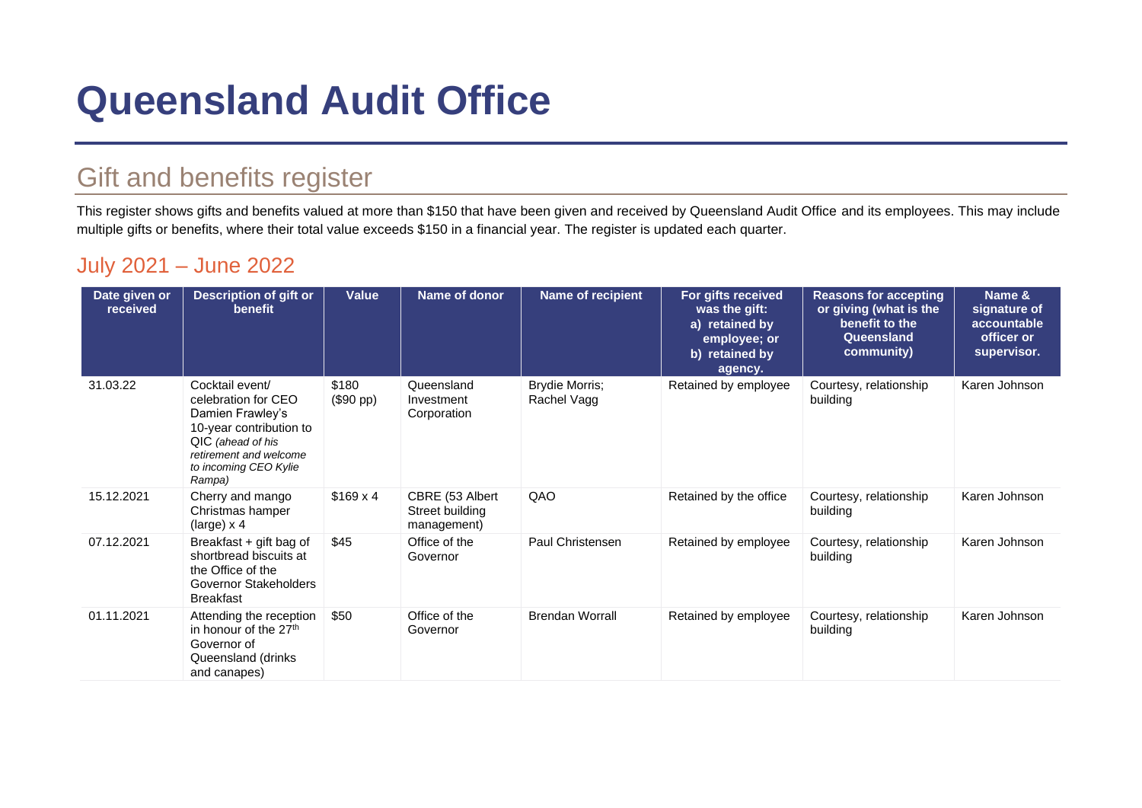# **Queensland Audit Office**

## Gift and benefits register

This register shows gifts and benefits valued at more than \$150 that have been given and received by Queensland Audit Office and its employees. This may include multiple gifts or benefits, where their total value exceeds \$150 in a financial year. The register is updated each quarter.

#### July 2021 – June 2022

| Date given or<br>received | <b>Description of gift or</b><br>benefit                                                                                                                                | Value                       | Name of donor                                     | Name of recipient             | For gifts received<br>was the gift:<br>a) retained by<br>employee; or<br>b) retained by<br>agency. | <b>Reasons for accepting</b><br>or giving (what is the<br>benefit to the<br>Queensland<br>community) | Name &<br>signature of<br>accountable<br>officer or<br>supervisor. |
|---------------------------|-------------------------------------------------------------------------------------------------------------------------------------------------------------------------|-----------------------------|---------------------------------------------------|-------------------------------|----------------------------------------------------------------------------------------------------|------------------------------------------------------------------------------------------------------|--------------------------------------------------------------------|
| 31.03.22                  | Cocktail event/<br>celebration for CEO<br>Damien Frawley's<br>10-year contribution to<br>QIC (ahead of his<br>retirement and welcome<br>to incoming CEO Kylie<br>Rampa) | \$180<br>$($90 \text{ pp})$ | Queensland<br>Investment<br>Corporation           | Brydie Morris;<br>Rachel Vagg | Retained by employee                                                                               | Courtesy, relationship<br>building                                                                   | Karen Johnson                                                      |
| 15.12.2021                | Cherry and mango<br>Christmas hamper<br>(large) $x$ 4                                                                                                                   | $$169 \times 4$             | CBRE (53 Albert<br>Street building<br>management) | QAO                           | Retained by the office                                                                             | Courtesy, relationship<br>building                                                                   | Karen Johnson                                                      |
| 07.12.2021                | Breakfast + gift bag of<br>shortbread biscuits at<br>the Office of the<br>Governor Stakeholders<br><b>Breakfast</b>                                                     | \$45                        | Office of the<br>Governor                         | Paul Christensen              | Retained by employee                                                                               | Courtesy, relationship<br>building                                                                   | Karen Johnson                                                      |
| 01.11.2021                | Attending the reception<br>in honour of the 27 <sup>th</sup><br>Governor of<br>Queensland (drinks<br>and canapes)                                                       | \$50                        | Office of the<br>Governor                         | <b>Brendan Worrall</b>        | Retained by employee                                                                               | Courtesy, relationship<br>building                                                                   | Karen Johnson                                                      |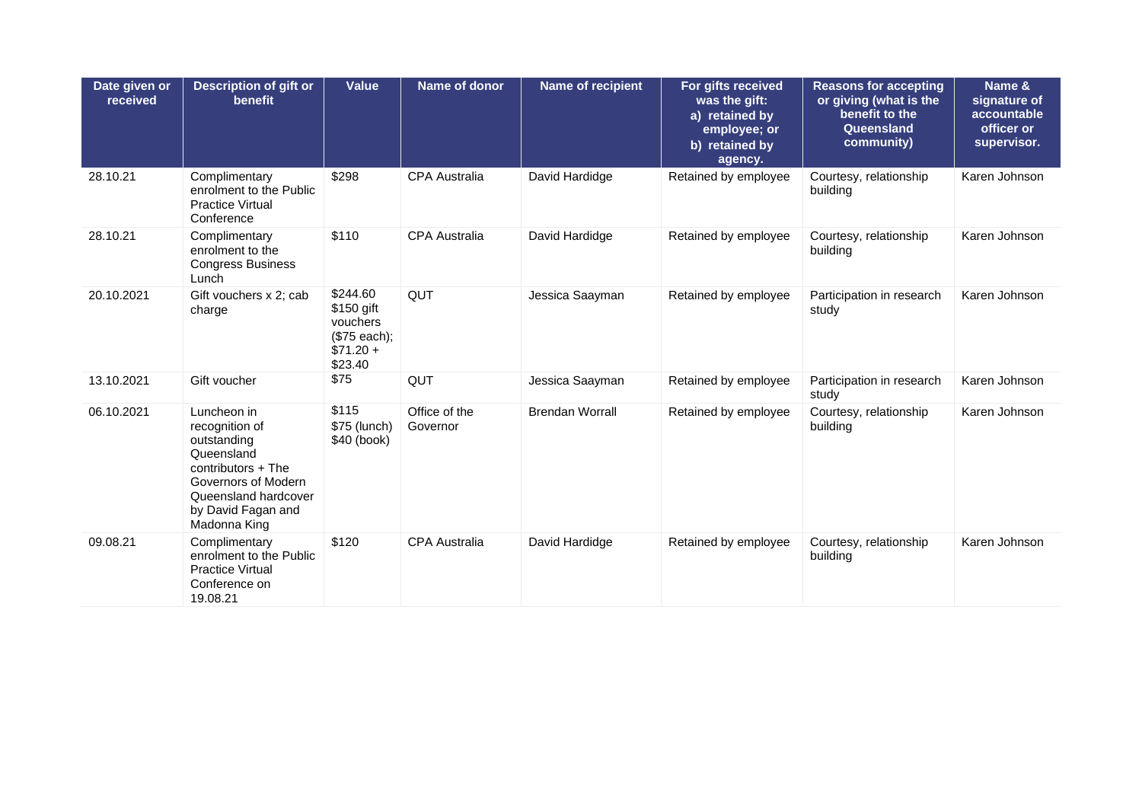| Date given or<br>received | <b>Description of gift or</b><br>benefit                                                                                                                              | <b>Value</b>                                                                | Name of donor             | <b>Name of recipient</b> | For gifts received<br>was the gift:<br>a) retained by<br>employee; or<br>b) retained by<br>agency. | <b>Reasons for accepting</b><br>or giving (what is the<br>benefit to the<br>Queensland<br>community) | Name &<br>signature of<br>accountable<br>officer or<br>supervisor. |
|---------------------------|-----------------------------------------------------------------------------------------------------------------------------------------------------------------------|-----------------------------------------------------------------------------|---------------------------|--------------------------|----------------------------------------------------------------------------------------------------|------------------------------------------------------------------------------------------------------|--------------------------------------------------------------------|
| 28.10.21                  | Complimentary<br>enrolment to the Public<br><b>Practice Virtual</b><br>Conference                                                                                     | \$298                                                                       | <b>CPA Australia</b>      | David Hardidge           | Retained by employee                                                                               | Courtesy, relationship<br>building                                                                   | Karen Johnson                                                      |
| 28.10.21                  | Complimentary<br>enrolment to the<br><b>Congress Business</b><br>Lunch                                                                                                | \$110                                                                       | <b>CPA Australia</b>      | David Hardidge           | Retained by employee                                                                               | Courtesy, relationship<br>building                                                                   | Karen Johnson                                                      |
| 20.10.2021                | Gift vouchers x 2; cab<br>charge                                                                                                                                      | \$244.60<br>\$150 gift<br>vouchers<br>(\$75 each);<br>$$71.20 +$<br>\$23.40 | QUT                       | Jessica Saayman          | Retained by employee                                                                               | Participation in research<br>study                                                                   | Karen Johnson                                                      |
| 13.10.2021                | Gift voucher                                                                                                                                                          | \$75                                                                        | QUT                       | Jessica Saayman          | Retained by employee                                                                               | Participation in research<br>study                                                                   | Karen Johnson                                                      |
| 06.10.2021                | Luncheon in<br>recognition of<br>outstanding<br>Queensland<br>contributors + The<br>Governors of Modern<br>Queensland hardcover<br>by David Fagan and<br>Madonna King | \$115<br>\$75 (lunch)<br>\$40 (book)                                        | Office of the<br>Governor | <b>Brendan Worrall</b>   | Retained by employee                                                                               | Courtesy, relationship<br>building                                                                   | Karen Johnson                                                      |
| 09.08.21                  | Complimentary<br>enrolment to the Public<br><b>Practice Virtual</b><br>Conference on<br>19.08.21                                                                      | \$120                                                                       | <b>CPA Australia</b>      | David Hardidge           | Retained by employee                                                                               | Courtesy, relationship<br>building                                                                   | Karen Johnson                                                      |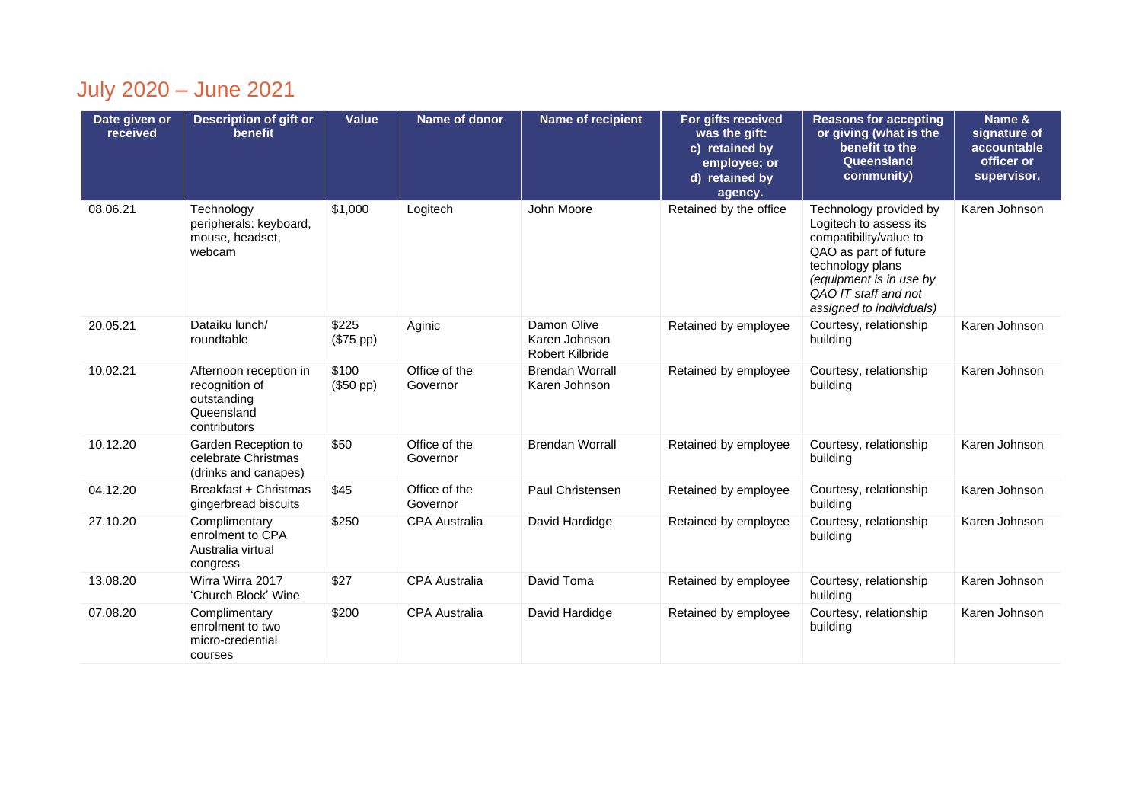## July 2020 – June 2021

| Date given or<br>received | <b>Description of gift or</b><br>benefit                                              | <b>Value</b>       | Name of donor             | <b>Name of recipient</b>                               | For gifts received<br>was the gift:<br>c) retained by<br>employee; or<br>d) retained by<br>agency. | <b>Reasons for accepting</b><br>or giving (what is the<br>benefit to the<br>Queensland<br>community)                                                                                                   | Name &<br>signature of<br>accountable<br>officer or<br>supervisor. |
|---------------------------|---------------------------------------------------------------------------------------|--------------------|---------------------------|--------------------------------------------------------|----------------------------------------------------------------------------------------------------|--------------------------------------------------------------------------------------------------------------------------------------------------------------------------------------------------------|--------------------------------------------------------------------|
| 08.06.21                  | Technology<br>peripherals: keyboard,<br>mouse, headset,<br>webcam                     | \$1,000            | Logitech                  | John Moore                                             | Retained by the office                                                                             | Technology provided by<br>Logitech to assess its<br>compatibility/value to<br>QAO as part of future<br>technology plans<br>(equipment is in use by<br>QAO IT staff and not<br>assigned to individuals) | Karen Johnson                                                      |
| 20.05.21                  | Dataiku lunch/<br>roundtable                                                          | \$225<br>(\$75 pp) | Aginic                    | Damon Olive<br>Karen Johnson<br><b>Robert Kilbride</b> | Retained by employee                                                                               | Courtesy, relationship<br>building                                                                                                                                                                     | Karen Johnson                                                      |
| 10.02.21                  | Afternoon reception in<br>recognition of<br>outstanding<br>Queensland<br>contributors | \$100<br>(\$50 pp) | Office of the<br>Governor | <b>Brendan Worrall</b><br>Karen Johnson                | Retained by employee                                                                               | Courtesy, relationship<br>building                                                                                                                                                                     | Karen Johnson                                                      |
| 10.12.20                  | Garden Reception to<br>celebrate Christmas<br>(drinks and canapes)                    | \$50               | Office of the<br>Governor | <b>Brendan Worrall</b>                                 | Retained by employee                                                                               | Courtesy, relationship<br>building                                                                                                                                                                     | Karen Johnson                                                      |
| 04.12.20                  | Breakfast + Christmas<br>gingerbread biscuits                                         | \$45               | Office of the<br>Governor | Paul Christensen                                       | Retained by employee                                                                               | Courtesy, relationship<br>building                                                                                                                                                                     | Karen Johnson                                                      |
| 27.10.20                  | Complimentary<br>enrolment to CPA<br>Australia virtual<br>congress                    | \$250              | <b>CPA Australia</b>      | David Hardidge                                         | Retained by employee                                                                               | Courtesy, relationship<br>building                                                                                                                                                                     | Karen Johnson                                                      |
| 13.08.20                  | Wirra Wirra 2017<br>'Church Block' Wine                                               | \$27               | <b>CPA Australia</b>      | David Toma                                             | Retained by employee                                                                               | Courtesy, relationship<br>building                                                                                                                                                                     | Karen Johnson                                                      |
| 07.08.20                  | Complimentary<br>enrolment to two<br>micro-credential<br>courses                      | \$200              | CPA Australia             | David Hardidge                                         | Retained by employee                                                                               | Courtesy, relationship<br>building                                                                                                                                                                     | Karen Johnson                                                      |